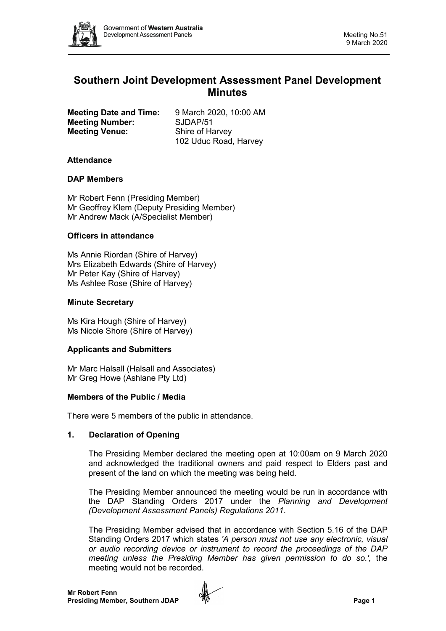

# **Southern Joint Development Assessment Panel Development Minutes**

|                       | <b>Meeting Date and Time:</b> |
|-----------------------|-------------------------------|
|                       | <b>Meeting Number:</b>        |
| <b>Meeting Venue:</b> |                               |

**Meeting Date and Time:** 9 March 2020, 10:00 AM **Meeting Number:** SJDAP/51 **Shire of Harvey** 102 Uduc Road, Harvey

# **Attendance**

# **DAP Members**

Mr Robert Fenn (Presiding Member) Mr Geoffrey Klem (Deputy Presiding Member) Mr Andrew Mack (A/Specialist Member)

# **Officers in attendance**

Ms Annie Riordan (Shire of Harvey) Mrs Elizabeth Edwards (Shire of Harvey) Mr Peter Kay (Shire of Harvey) Ms Ashlee Rose (Shire of Harvey)

# **Minute Secretary**

Ms Kira Hough (Shire of Harvey) Ms Nicole Shore (Shire of Harvey)

### **Applicants and Submitters**

Mr Marc Halsall (Halsall and Associates) Mr Greg Howe (Ashlane Pty Ltd)

### **Members of the Public / Media**

There were 5 members of the public in attendance.

# **1. Declaration of Opening**

The Presiding Member declared the meeting open at 10:00am on 9 March 2020 and acknowledged the traditional owners and paid respect to Elders past and present of the land on which the meeting was being held.

The Presiding Member announced the meeting would be run in accordance with the DAP Standing Orders 2017 under the *Planning and Development (Development Assessment Panels) Regulations 2011*.

The Presiding Member advised that in accordance with Section 5.16 of the DAP Standing Orders 2017 which states *'A person must not use any electronic, visual or audio recording device or instrument to record the proceedings of the DAP meeting unless the Presiding Member has given permission to do so.',* the meeting would not be recorded.

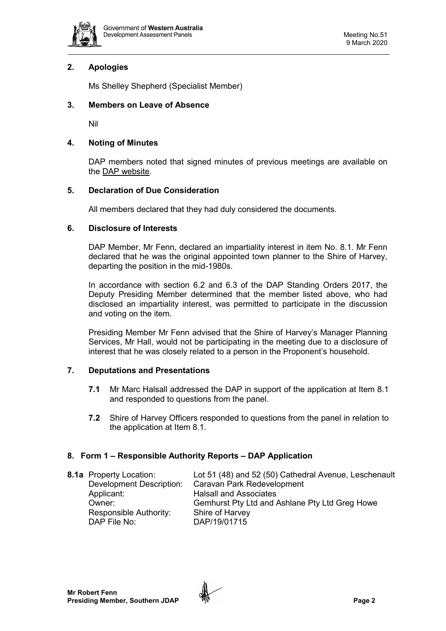

# **2. Apologies**

Ms Shelley Shepherd (Specialist Member)

# **3. Members on Leave of Absence**

Nil

# **4. Noting of Minutes**

DAP members noted that signed minutes of previous meetings are available on the [DAP website.](https://www.dplh.wa.gov.au/about/development-assessment-panels/daps-agendas-and-minutes)

# **5. Declaration of Due Consideration**

All members declared that they had duly considered the documents.

# **6. Disclosure of Interests**

DAP Member, Mr Fenn, declared an impartiality interest in item No. 8.1. Mr Fenn declared that he was the original appointed town planner to the Shire of Harvey, departing the position in the mid-1980s.

In accordance with section 6.2 and 6.3 of the DAP Standing Orders 2017, the Deputy Presiding Member determined that the member listed above, who had disclosed an impartiality interest, was permitted to participate in the discussion and voting on the item.

Presiding Member Mr Fenn advised that the Shire of Harvey's Manager Planning Services, Mr Hall, would not be participating in the meeting due to a disclosure of interest that he was closely related to a person in the Proponent's household.

# **7. Deputations and Presentations**

- **7.1** Mr Marc Halsall addressed the DAP in support of the application at Item 8.1 and responded to questions from the panel.
- **7.2** Shire of Harvey Officers responded to questions from the panel in relation to the application at Item 8.1.

# **8. Form 1 – Responsible Authority Reports – DAP Application**

| <b>8.1a</b> Property Location:  | Lot 51 (48) and 52 (50) Cathedral Avenue, Leschenault |
|---------------------------------|-------------------------------------------------------|
| <b>Development Description:</b> | Caravan Park Redevelopment                            |
| Applicant:                      | <b>Halsall and Associates</b>                         |
| Owner:                          | Gemhurst Pty Ltd and Ashlane Pty Ltd Greg Howe        |
| Responsible Authority:          | Shire of Harvey                                       |
| DAP File No:                    | DAP/19/01715                                          |

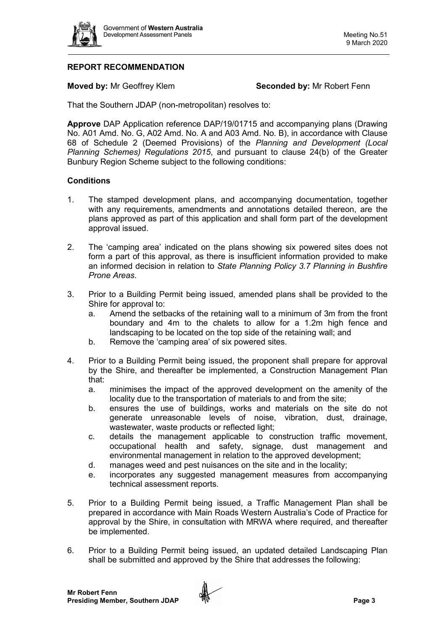

# **REPORT RECOMMENDATION**

**Moved by:** Mr Geoffrey Klem **Seconded by:** Mr Robert Fenn

That the Southern JDAP (non-metropolitan) resolves to:

**Approve** DAP Application reference DAP/19/01715 and accompanying plans (Drawing No. A01 Amd. No. G, A02 Amd. No. A and A03 Amd. No. B), in accordance with Clause 68 of Schedule 2 (Deemed Provisions) of the *Planning and Development (Local Planning Schemes) Regulations 2015*, and pursuant to clause 24(b) of the Greater Bunbury Region Scheme subject to the following conditions:

# **Conditions**

- 1. The stamped development plans, and accompanying documentation, together with any requirements, amendments and annotations detailed thereon, are the plans approved as part of this application and shall form part of the development approval issued.
- 2. The 'camping area' indicated on the plans showing six powered sites does not form a part of this approval, as there is insufficient information provided to make an informed decision in relation to *State Planning Policy 3.7 Planning in Bushfire Prone Areas*.
- 3. Prior to a Building Permit being issued, amended plans shall be provided to the Shire for approval to:
	- a. Amend the setbacks of the retaining wall to a minimum of 3m from the front boundary and 4m to the chalets to allow for a 1.2m high fence and landscaping to be located on the top side of the retaining wall; and
	- b. Remove the 'camping area' of six powered sites.
- 4. Prior to a Building Permit being issued, the proponent shall prepare for approval by the Shire, and thereafter be implemented, a Construction Management Plan that:
	- a. minimises the impact of the approved development on the amenity of the locality due to the transportation of materials to and from the site;
	- b. ensures the use of buildings, works and materials on the site do not generate unreasonable levels of noise, vibration, dust, drainage, wastewater, waste products or reflected light;
	- c. details the management applicable to construction traffic movement, occupational health and safety, signage, dust management and environmental management in relation to the approved development;
	- d. manages weed and pest nuisances on the site and in the locality;
	- e. incorporates any suggested management measures from accompanying technical assessment reports.
- 5. Prior to a Building Permit being issued, a Traffic Management Plan shall be prepared in accordance with Main Roads Western Australia's Code of Practice for approval by the Shire, in consultation with MRWA where required, and thereafter be implemented.
- 6. Prior to a Building Permit being issued, an updated detailed Landscaping Plan shall be submitted and approved by the Shire that addresses the following:

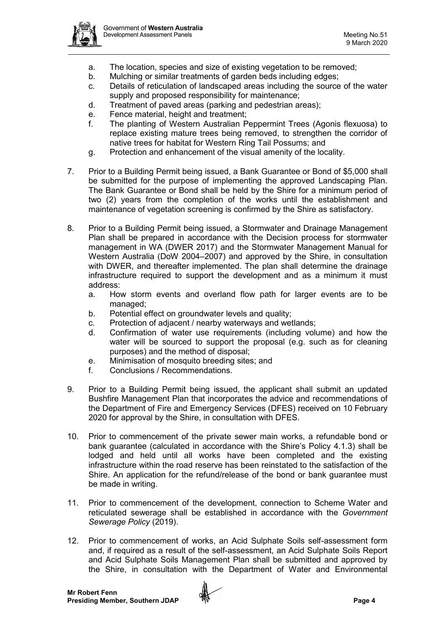

- a. The location, species and size of existing vegetation to be removed;
- b. Mulching or similar treatments of garden beds including edges;
- c. Details of reticulation of landscaped areas including the source of the water supply and proposed responsibility for maintenance;
- d. Treatment of paved areas (parking and pedestrian areas);
- e. Fence material, height and treatment;
- f. The planting of Western Australian Peppermint Trees (Agonis flexuosa) to replace existing mature trees being removed, to strengthen the corridor of native trees for habitat for Western Ring Tail Possums; and
- g. Protection and enhancement of the visual amenity of the locality.
- 7. Prior to a Building Permit being issued, a Bank Guarantee or Bond of \$5,000 shall be submitted for the purpose of implementing the approved Landscaping Plan. The Bank Guarantee or Bond shall be held by the Shire for a minimum period of two (2) years from the completion of the works until the establishment and maintenance of vegetation screening is confirmed by the Shire as satisfactory.
- 8. Prior to a Building Permit being issued, a Stormwater and Drainage Management Plan shall be prepared in accordance with the Decision process for stormwater management in WA (DWER 2017) and the Stormwater Management Manual for Western Australia (DoW 2004–2007) and approved by the Shire, in consultation with DWER, and thereafter implemented. The plan shall determine the drainage infrastructure required to support the development and as a minimum it must address:
	- a. How storm events and overland flow path for larger events are to be managed;
	- b. Potential effect on groundwater levels and quality;
	- c. Protection of adjacent / nearby waterways and wetlands;
	- d. Confirmation of water use requirements (including volume) and how the water will be sourced to support the proposal (e.g. such as for cleaning purposes) and the method of disposal;
	- e. Minimisation of mosquito breeding sites; and
	- f. Conclusions / Recommendations.
- 9. Prior to a Building Permit being issued, the applicant shall submit an updated Bushfire Management Plan that incorporates the advice and recommendations of the Department of Fire and Emergency Services (DFES) received on 10 February 2020 for approval by the Shire, in consultation with DFES.
- 10. Prior to commencement of the private sewer main works, a refundable bond or bank guarantee (calculated in accordance with the Shire's Policy 4.1.3) shall be lodged and held until all works have been completed and the existing infrastructure within the road reserve has been reinstated to the satisfaction of the Shire. An application for the refund/release of the bond or bank guarantee must be made in writing.
- 11. Prior to commencement of the development, connection to Scheme Water and reticulated sewerage shall be established in accordance with the *Government Sewerage Policy* (2019).
- 12. Prior to commencement of works, an Acid Sulphate Soils self-assessment form and, if required as a result of the self-assessment, an Acid Sulphate Soils Report and Acid Sulphate Soils Management Plan shall be submitted and approved by the Shire, in consultation with the Department of Water and Environmental

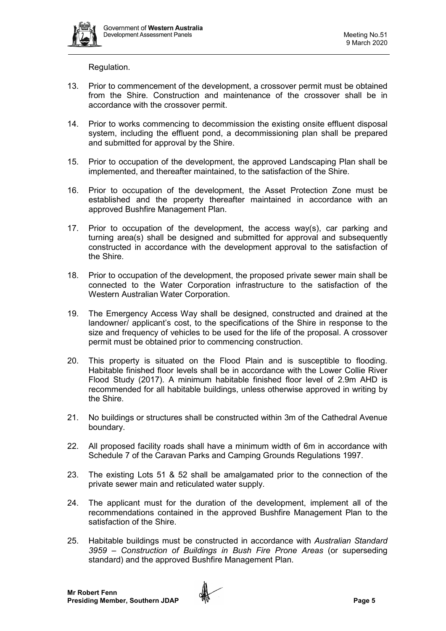

Regulation.

- 13. Prior to commencement of the development, a crossover permit must be obtained from the Shire. Construction and maintenance of the crossover shall be in accordance with the crossover permit.
- 14. Prior to works commencing to decommission the existing onsite effluent disposal system, including the effluent pond, a decommissioning plan shall be prepared and submitted for approval by the Shire.
- 15. Prior to occupation of the development, the approved Landscaping Plan shall be implemented, and thereafter maintained, to the satisfaction of the Shire.
- 16. Prior to occupation of the development, the Asset Protection Zone must be established and the property thereafter maintained in accordance with an approved Bushfire Management Plan.
- 17. Prior to occupation of the development, the access way(s), car parking and turning area(s) shall be designed and submitted for approval and subsequently constructed in accordance with the development approval to the satisfaction of the Shire.
- 18. Prior to occupation of the development, the proposed private sewer main shall be connected to the Water Corporation infrastructure to the satisfaction of the Western Australian Water Corporation.
- 19. The Emergency Access Way shall be designed, constructed and drained at the landowner/ applicant's cost, to the specifications of the Shire in response to the size and frequency of vehicles to be used for the life of the proposal. A crossover permit must be obtained prior to commencing construction.
- 20. This property is situated on the Flood Plain and is susceptible to flooding. Habitable finished floor levels shall be in accordance with the Lower Collie River Flood Study (2017). A minimum habitable finished floor level of 2.9m AHD is recommended for all habitable buildings, unless otherwise approved in writing by the Shire.
- 21. No buildings or structures shall be constructed within 3m of the Cathedral Avenue boundary.
- 22. All proposed facility roads shall have a minimum width of 6m in accordance with Schedule 7 of the Caravan Parks and Camping Grounds Regulations 1997.
- 23. The existing Lots 51 & 52 shall be amalgamated prior to the connection of the private sewer main and reticulated water supply.
- 24. The applicant must for the duration of the development, implement all of the recommendations contained in the approved Bushfire Management Plan to the satisfaction of the Shire.
- 25. Habitable buildings must be constructed in accordance with *Australian Standard 3959 – Construction of Buildings in Bush Fire Prone Areas* (or superseding standard) and the approved Bushfire Management Plan.

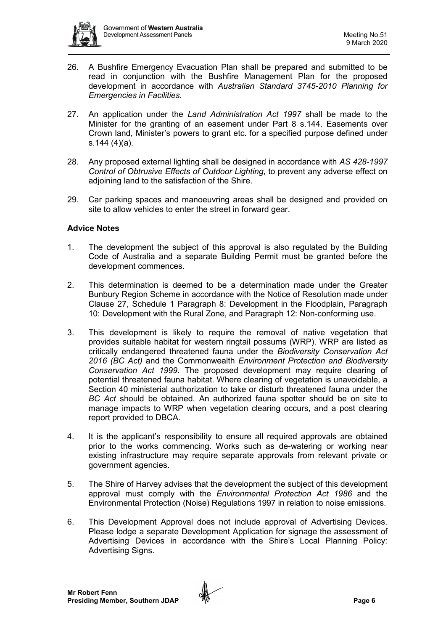

- 26. A Bushfire Emergency Evacuation Plan shall be prepared and submitted to be read in conjunction with the Bushfire Management Plan for the proposed development in accordance with *Australian Standard 3745-2010 Planning for Emergencies in Facilities*.
- 27. An application under the *Land Administration Act 1997* shall be made to the Minister for the granting of an easement under Part 8 s.144. Easements over Crown land, Minister's powers to grant etc. for a specified purpose defined under s.144 (4)(a).
- 28. Any proposed external lighting shall be designed in accordance with *AS 428-1997 Control of Obtrusive Effects of Outdoor Lighting*, to prevent any adverse effect on adjoining land to the satisfaction of the Shire.
- 29. Car parking spaces and manoeuvring areas shall be designed and provided on site to allow vehicles to enter the street in forward gear.

# **Advice Notes**

- 1. The development the subject of this approval is also regulated by the Building Code of Australia and a separate Building Permit must be granted before the development commences.
- 2. This determination is deemed to be a determination made under the Greater Bunbury Region Scheme in accordance with the Notice of Resolution made under Clause 27, Schedule 1 Paragraph 8: Development in the Floodplain, Paragraph 10: Development with the Rural Zone, and Paragraph 12: Non-conforming use.
- 3. This development is likely to require the removal of native vegetation that provides suitable habitat for western ringtail possums (WRP). WRP are listed as critically endangered threatened fauna under the *Biodiversity Conservation Act 2016 (BC Act)* and the Commonwealth *Environment Protection and Biodiversity Conservation Act 1999*. The proposed development may require clearing of potential threatened fauna habitat. Where clearing of vegetation is unavoidable, a Section 40 ministerial authorization to take or disturb threatened fauna under the *BC Act* should be obtained. An authorized fauna spotter should be on site to manage impacts to WRP when vegetation clearing occurs, and a post clearing report provided to DBCA.
- 4. It is the applicant's responsibility to ensure all required approvals are obtained prior to the works commencing. Works such as de-watering or working near existing infrastructure may require separate approvals from relevant private or government agencies.
- 5. The Shire of Harvey advises that the development the subject of this development approval must comply with the *Environmental Protection Act 1986* and the Environmental Protection (Noise) Regulations 1997 in relation to noise emissions.
- 6. This Development Approval does not include approval of Advertising Devices. Please lodge a separate Development Application for signage the assessment of Advertising Devices in accordance with the Shire's Local Planning Policy: Advertising Signs.

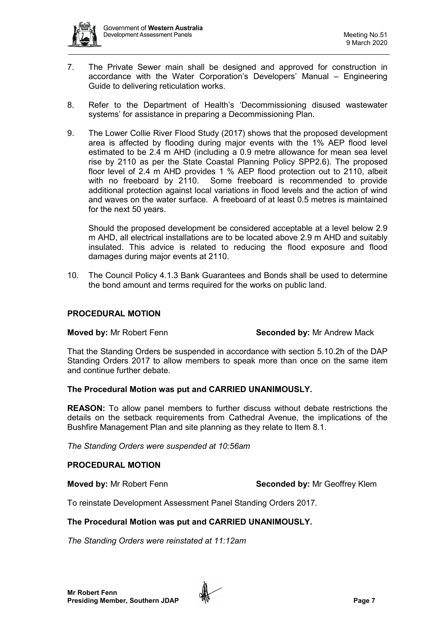

- 7. The Private Sewer main shall be designed and approved for construction in accordance with the Water Corporation's Developers' Manual – Engineering Guide to delivering reticulation works.
- 8. Refer to the Department of Health's 'Decommissioning disused wastewater systems' for assistance in preparing a Decommissioning Plan.
- 9. The Lower Collie River Flood Study (2017) shows that the proposed development area is affected by flooding during major events with the 1% AEP flood level estimated to be 2.4 m AHD (including a 0.9 metre allowance for mean sea level rise by 2110 as per the State Coastal Planning Policy SPP2.6). The proposed floor level of 2.4 m AHD provides 1 % AEP flood protection out to 2110, albeit with no freeboard by 2110. Some freeboard is recommended to provide additional protection against local variations in flood levels and the action of wind and waves on the water surface. A freeboard of at least 0.5 metres is maintained for the next 50 years.

Should the proposed development be considered acceptable at a level below 2.9 m AHD, all electrical installations are to be located above 2.9 m AHD and suitably insulated. This advice is related to reducing the flood exposure and flood damages during major events at 2110.

10. The Council Policy 4.1.3 Bank Guarantees and Bonds shall be used to determine the bond amount and terms required for the works on public land.

# **PROCEDURAL MOTION**

**Moved by:** Mr Robert Fenn **Seconded by: Mr Andrew Mack** 

That the Standing Orders be suspended in accordance with section 5.10.2h of the DAP Standing Orders 2017 to allow members to speak more than once on the same item and continue further debate.

### **The Procedural Motion was put and CARRIED UNANIMOUSLY.**

**REASON:** To allow panel members to further discuss without debate restrictions the details on the setback requirements from Cathedral Avenue, the implications of the Bushfire Management Plan and site planning as they relate to Item 8.1.

*The Standing Orders were suspended at 10:56am*

### **PROCEDURAL MOTION**

**Moved by:** Mr Robert Fenn **Seconded by:** Mr Geoffrey Klem

To reinstate Development Assessment Panel Standing Orders 2017.

### **The Procedural Motion was put and CARRIED UNANIMOUSLY.**

*The Standing Orders were reinstated at 11:12am*

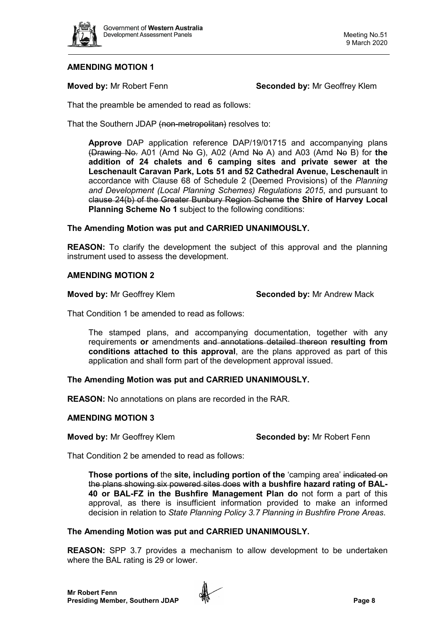

**Moved by:** Mr Robert Fenn **Seconded by:** Mr Geoffrey Klem

That the preamble be amended to read as follows:

That the Southern JDAP (non-metropolitan) resolves to:

**Approve** DAP application reference DAP/19/01715 and accompanying plans (Drawing No. A01 (Amd No G), A02 (Amd No A) and A03 (Amd No B) for **the addition of 24 chalets and 6 camping sites and private sewer at the Leschenault Caravan Park, Lots 51 and 52 Cathedral Avenue, Leschenault** in accordance with Clause 68 of Schedule 2 (Deemed Provisions) of the *Planning and Development (Local Planning Schemes) Regulations 2015*, and pursuant to clause 24(b) of the Greater Bunbury Region Scheme **the Shire of Harvey Local Planning Scheme No 1** subject to the following conditions:

# **The Amending Motion was put and CARRIED UNANIMOUSLY.**

**REASON:** To clarify the development the subject of this approval and the planning instrument used to assess the development.

### **AMENDING MOTION 2**

**Moved by:** Mr Geoffrey Klem **Seconded by:** Mr Andrew Mack

That Condition 1 be amended to read as follows:

The stamped plans, and accompanying documentation, together with any requirements **or** amendments and annotations detailed thereon **resulting from conditions attached to this approval**, are the plans approved as part of this application and shall form part of the development approval issued.

# **The Amending Motion was put and CARRIED UNANIMOUSLY.**

**REASON:** No annotations on plans are recorded in the RAR.

### **AMENDING MOTION 3**

**Moved by:** Mr Geoffrey Klem **Seconded by:** Mr Robert Fenn

That Condition 2 be amended to read as follows:

**Those portions of** the **site, including portion of the** 'camping area' indicated on the plans showing six powered sites does **with a bushfire hazard rating of BAL-40 or BAL-FZ in the Bushfire Management Plan do** not form a part of this approval, as there is insufficient information provided to make an informed decision in relation to *State Planning Policy 3.7 Planning in Bushfire Prone Areas*.

### **The Amending Motion was put and CARRIED UNANIMOUSLY.**

**REASON:** SPP 3.7 provides a mechanism to allow development to be undertaken where the BAL rating is 29 or lower.

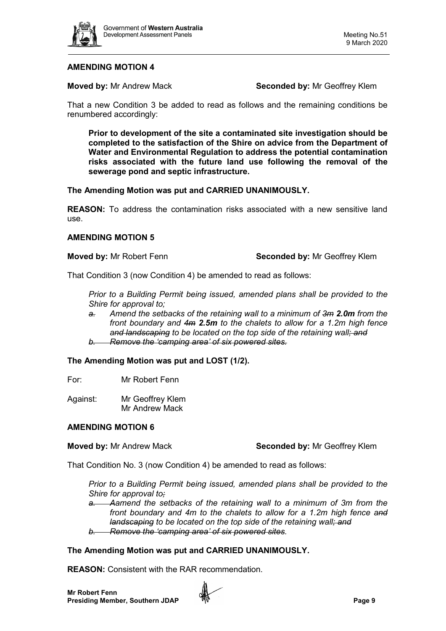

**Moved by:** Mr Andrew Mack **Seconded by:** Mr Geoffrey Klem

That a new Condition 3 be added to read as follows and the remaining conditions be renumbered accordingly:

**Prior to development of the site a contaminated site investigation should be completed to the satisfaction of the Shire on advice from the Department of Water and Environmental Regulation to address the potential contamination risks associated with the future land use following the removal of the sewerage pond and septic infrastructure.** 

**The Amending Motion was put and CARRIED UNANIMOUSLY.**

**REASON:** To address the contamination risks associated with a new sensitive land use.

### **AMENDING MOTION 5**

### **Moved by:** Mr Robert Fenn **Seconded by:** Mr Geoffrey Klem

That Condition 3 (now Condition 4) be amended to read as follows:

*Prior to a Building Permit being issued, amended plans shall be provided to the Shire for approval to;*

*a. Amend the setbacks of the retaining wall to a minimum of 3m 2.0m from the front boundary and 4m 2.5m to the chalets to allow for a 1.2m high fence and landscaping to be located on the top side of the retaining wall; and b. Remove the 'camping area' of six powered sites.*

**The Amending Motion was put and LOST (1/2).** 

For: Mr Robert Fenn

Against: Mr Geoffrey Klem Mr Andrew Mack

### **AMENDING MOTION 6**

### **Moved by:** Mr Andrew Mack **Seconded by:** Mr Geoffrey Klem

That Condition No. 3 (now Condition 4) be amended to read as follows:

*Prior to a Building Permit being issued, amended plans shall be provided to the Shire for approval to;*

*a. Aamend the setbacks of the retaining wall to a minimum of 3m from the front boundary and 4m to the chalets to allow for a 1.2m high fence and landscaping to be located on the top side of the retaining wall; and b. Remove the 'camping area' of six powered sites.*

# **The Amending Motion was put and CARRIED UNANIMOUSLY.**

**REASON:** Consistent with the RAR recommendation.

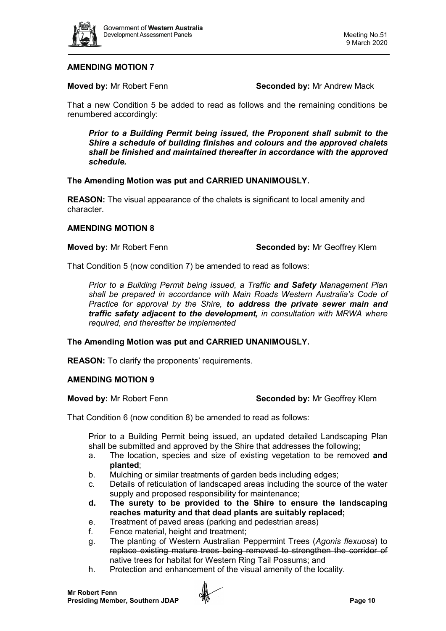

**Moved by: Mr Robert Fenn <b>Seconded by:** Mr Andrew Mack

That a new Condition 5 be added to read as follows and the remaining conditions be renumbered accordingly:

*Prior to a Building Permit being issued, the Proponent shall submit to the Shire a schedule of building finishes and colours and the approved chalets shall be finished and maintained thereafter in accordance with the approved schedule.* 

# **The Amending Motion was put and CARRIED UNANIMOUSLY.**

**REASON:** The visual appearance of the chalets is significant to local amenity and character.

# **AMENDING MOTION 8**

**Moved by:** Mr Robert Fenn **Seconded by:** Mr Geoffrey Klem

That Condition 5 (now condition 7) be amended to read as follows:

*Prior to a Building Permit being issued, a Traffic and Safety Management Plan shall be prepared in accordance with Main Roads Western Australia's Code of Practice for approval by the Shire, to address the private sewer main and traffic safety adjacent to the development, in consultation with MRWA where required, and thereafter be implemented*

# **The Amending Motion was put and CARRIED UNANIMOUSLY.**

**REASON:** To clarify the proponents' requirements.

### **AMENDING MOTION 9**

### **Moved by:** Mr Robert Fenn **Seconded by:** Mr Geoffrey Klem

That Condition 6 (now condition 8) be amended to read as follows:

Prior to a Building Permit being issued, an updated detailed Landscaping Plan shall be submitted and approved by the Shire that addresses the following;

- a. The location, species and size of existing vegetation to be removed **and planted**;
- b. Mulching or similar treatments of garden beds including edges;
- c. Details of reticulation of landscaped areas including the source of the water supply and proposed responsibility for maintenance;
- **d. The surety to be provided to the Shire to ensure the landscaping reaches maturity and that dead plants are suitably replaced;**
- e. Treatment of paved areas (parking and pedestrian areas)
- f. Fence material, height and treatment;
- g. The planting of Western Australian Peppermint Trees (*Agonis flexuosa*) to replace existing mature trees being removed to strengthen the corridor of native trees for habitat for Western Ring Tail Possums; and
- h. Protection and enhancement of the visual amenity of the locality.

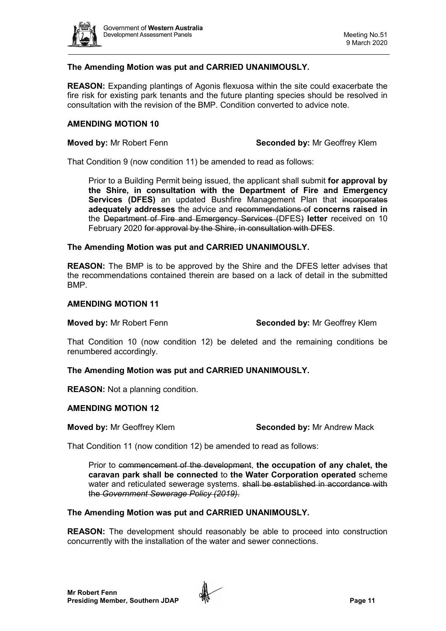

# **The Amending Motion was put and CARRIED UNANIMOUSLY.**

**REASON:** Expanding plantings of Agonis flexuosa within the site could exacerbate the fire risk for existing park tenants and the future planting species should be resolved in consultation with the revision of the BMP. Condition converted to advice note.

### **AMENDING MOTION 10**

**Moved by:** Mr Robert Fenn **Seconded by:** Mr Geoffrey Klem

That Condition 9 (now condition 11) be amended to read as follows:

Prior to a Building Permit being issued, the applicant shall submit **for approval by the Shire, in consultation with the Department of Fire and Emergency Services (DFES)** an updated Bushfire Management Plan that incorporates **adequately addresses** the advice and recommendations of **concerns raised in** the Department of Fire and Emergency Services (DFES) **letter** received on 10 February 2020 for approval by the Shire, in consultation with DFES.

### **The Amending Motion was put and CARRIED UNANIMOUSLY.**

**REASON:** The BMP is to be approved by the Shire and the DFES letter advises that the recommendations contained therein are based on a lack of detail in the submitted BMP.

# **AMENDING MOTION 11**

**Moved by:** Mr Robert Fenn **Seconded by:** Mr Geoffrey Klem

That Condition 10 (now condition 12) be deleted and the remaining conditions be renumbered accordingly.

### **The Amending Motion was put and CARRIED UNANIMOUSLY.**

**REASON:** Not a planning condition.

### **AMENDING MOTION 12**

**Moved by: Mr Geoffrey Klem <b>Seconded by: Mr Andrew Mack** 

That Condition 11 (now condition 12) be amended to read as follows:

Prior to commencement of the development, **the occupation of any chalet, the caravan park shall be connected** to **the Water Corporation operated** scheme water and reticulated sewerage systems. shall be established in accordance with the *Government Sewerage Policy (2019)*.

### **The Amending Motion was put and CARRIED UNANIMOUSLY.**

**REASON:** The development should reasonably be able to proceed into construction concurrently with the installation of the water and sewer connections.

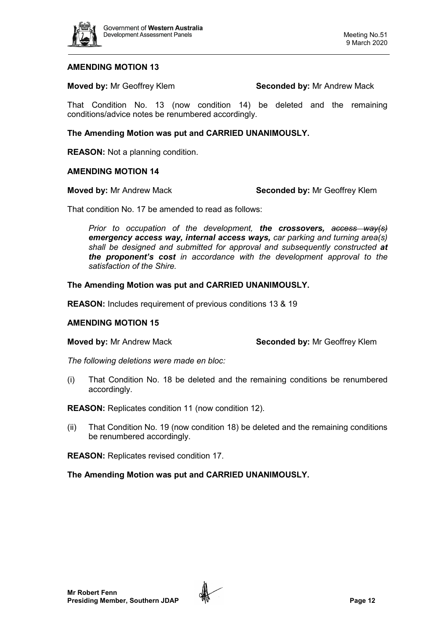

**Moved by: Mr Geoffrey Klem <b>Seconded by: Mr Andrew Mack** 

That Condition No. 13 (now condition 14) be deleted and the remaining conditions/advice notes be renumbered accordingly.

**The Amending Motion was put and CARRIED UNANIMOUSLY.** 

**REASON:** Not a planning condition.

# **AMENDING MOTION 14**

**Moved by:** Mr Andrew Mack **Seconded by:** Mr Geoffrey Klem

That condition No. 17 be amended to read as follows:

*Prior to occupation of the development, the crossovers, access way(s) emergency access way, internal access ways, car parking and turning area(s)*  shall be designed and submitted for approval and subsequently constructed at *the proponent's cost in accordance with the development approval to the satisfaction of the Shire.*

# **The Amending Motion was put and CARRIED UNANIMOUSLY.**

**REASON:** Includes requirement of previous conditions 13 & 19

### **AMENDING MOTION 15**

**Moved by:** Mr Andrew Mack **Seconded by:** Mr Geoffrey Klem

*The following deletions were made en bloc:* 

(i) That Condition No. 18 be deleted and the remaining conditions be renumbered accordingly.

**REASON:** Replicates condition 11 (now condition 12).

(ii) That Condition No. 19 (now condition 18) be deleted and the remaining conditions be renumbered accordingly.

**REASON:** Replicates revised condition 17.

**The Amending Motion was put and CARRIED UNANIMOUSLY.** 

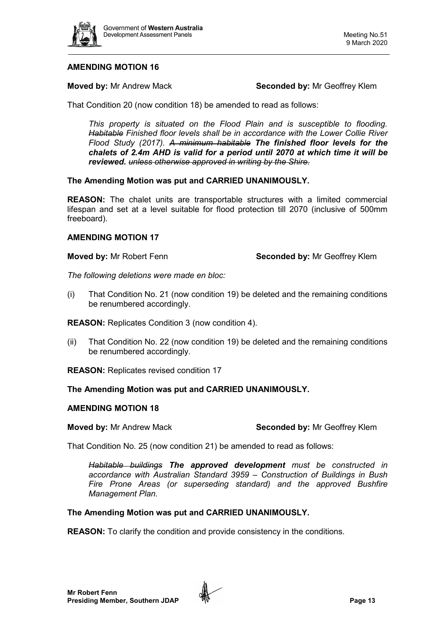

**Moved by:** Mr Andrew Mack **Seconded by:** Mr Geoffrey Klem

That Condition 20 (now condition 18) be amended to read as follows:

*This property is situated on the Flood Plain and is susceptible to flooding. Habitable Finished floor levels shall be in accordance with the Lower Collie River Flood Study (2017). A minimum habitable The finished floor levels for the chalets of 2.4m AHD is valid for a period until 2070 at which time it will be reviewed. unless otherwise approved in writing by the Shire.*

# **The Amending Motion was put and CARRIED UNANIMOUSLY.**

**REASON:** The chalet units are transportable structures with a limited commercial lifespan and set at a level suitable for flood protection till 2070 (inclusive of 500mm freeboard).

# **AMENDING MOTION 17**

**Moved by:** Mr Robert Fenn **Seconded by:** Mr Geoffrey Klem

*The following deletions were made en bloc:* 

(i) That Condition No. 21 (now condition 19) be deleted and the remaining conditions be renumbered accordingly.

**REASON:** Replicates Condition 3 (now condition 4).

(ii) That Condition No. 22 (now condition 19) be deleted and the remaining conditions be renumbered accordingly.

**REASON:** Replicates revised condition 17

# **The Amending Motion was put and CARRIED UNANIMOUSLY.**

### **AMENDING MOTION 18**

**Moved by:** Mr Andrew Mack **Seconded by:** Mr Geoffrey Klem

That Condition No. 25 (now condition 21) be amended to read as follows:

*Habitable buildings The approved development must be constructed in accordance with Australian Standard 3959 – Construction of Buildings in Bush Fire Prone Areas (or superseding standard) and the approved Bushfire Management Plan.*

### **The Amending Motion was put and CARRIED UNANIMOUSLY.**

**REASON:** To clarify the condition and provide consistency in the conditions.

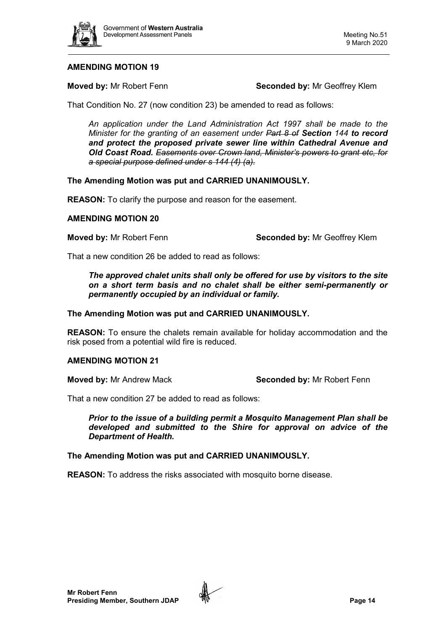

**Moved by:** Mr Robert Fenn **Seconded by:** Mr Geoffrey Klem

That Condition No. 27 (now condition 23) be amended to read as follows:

*An application under the Land Administration Act 1997 shall be made to the Minister for the granting of an easement under Part 8 of Section 144 to record and protect the proposed private sewer line within Cathedral Avenue and Old Coast Road. Easements over Crown land, Minister's powers to grant etc, for a special purpose defined under s 144 (4) (a).*

# **The Amending Motion was put and CARRIED UNANIMOUSLY.**

**REASON:** To clarify the purpose and reason for the easement.

# **AMENDING MOTION 20**

**Moved by:** Mr Robert Fenn **Seconded by:** Mr Geoffrey Klem

That a new condition 26 be added to read as follows:

*The approved chalet units shall only be offered for use by visitors to the site on a short term basis and no chalet shall be either semi-permanently or permanently occupied by an individual or family.*

# **The Amending Motion was put and CARRIED UNANIMOUSLY.**

**REASON:** To ensure the chalets remain available for holiday accommodation and the risk posed from a potential wild fire is reduced.

### **AMENDING MOTION 21**

**Moved by:** Mr Andrew Mack **Seconded by:** Mr Robert Fenn

That a new condition 27 be added to read as follows:

*Prior to the issue of a building permit a Mosquito Management Plan shall be developed and submitted to the Shire for approval on advice of the Department of Health.*

# **The Amending Motion was put and CARRIED UNANIMOUSLY.**

**REASON:** To address the risks associated with mosquito borne disease.

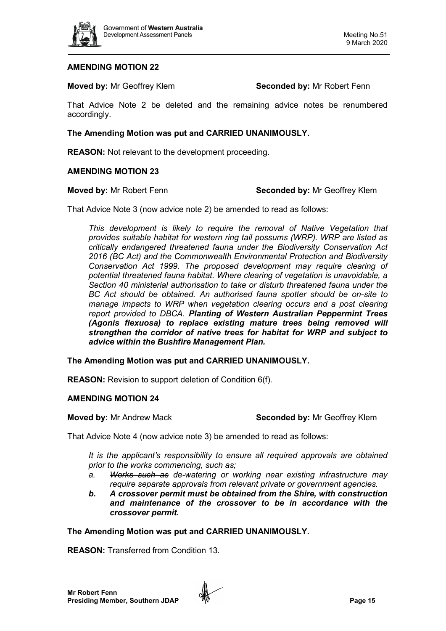

**Moved by:** Mr Geoffrey Klem **Seconded by:** Mr Robert Fenn

That Advice Note 2 be deleted and the remaining advice notes be renumbered accordingly.

**The Amending Motion was put and CARRIED UNANIMOUSLY.** 

**REASON:** Not relevant to the development proceeding.

## **AMENDING MOTION 23**

#### **Moved by:** Mr Robert Fenn **Seconded by:** Mr Geoffrey Klem

That Advice Note 3 (now advice note 2) be amended to read as follows:

*This development is likely to require the removal of Native Vegetation that provides suitable habitat for western ring tail possums (WRP). WRP are listed as critically endangered threatened fauna under the Biodiversity Conservation Act 2016 (BC Act) and the Commonwealth Environmental Protection and Biodiversity Conservation Act 1999. The proposed development may require clearing of potential threatened fauna habitat. Where clearing of vegetation is unavoidable, a Section 40 ministerial authorisation to take or disturb threatened fauna under the BC Act should be obtained. An authorised fauna spotter should be on-site to manage impacts to WRP when vegetation clearing occurs and a post clearing report provided to DBCA. Planting of Western Australian Peppermint Trees (Agonis flexuosa) to replace existing mature trees being removed will strengthen the corridor of native trees for habitat for WRP and subject to advice within the Bushfire Management Plan.*

**The Amending Motion was put and CARRIED UNANIMOUSLY.** 

**REASON:** Revision to support deletion of Condition 6(f).

### **AMENDING MOTION 24**

**Moved by:** Mr Andrew Mack **Seconded by:** Mr Geoffrey Klem

That Advice Note 4 (now advice note 3) be amended to read as follows:

*It is the applicant's responsibility to ensure all required approvals are obtained prior to the works commencing, such as;*

- *a. Works such as de-watering or working near existing infrastructure may require separate approvals from relevant private or government agencies.*
- *b. A crossover permit must be obtained from the Shire, with construction and maintenance of the crossover to be in accordance with the crossover permit.*

### **The Amending Motion was put and CARRIED UNANIMOUSLY.**

**REASON:** Transferred from Condition 13.

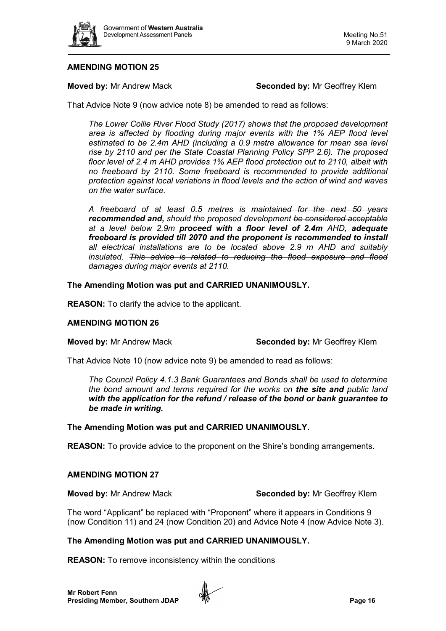

**Moved by:** Mr Andrew Mack **Seconded by:** Mr Geoffrey Klem

That Advice Note 9 (now advice note 8) be amended to read as follows:

*The Lower Collie River Flood Study (2017) shows that the proposed development area is affected by flooding during major events with the 1% AEP flood level estimated to be 2.4m AHD (including a 0.9 metre allowance for mean sea level rise by 2110 and per the State Coastal Planning Policy SPP 2.6). The proposed floor level of 2.4 m AHD provides 1% AEP flood protection out to 2110, albeit with no freeboard by 2110. Some freeboard is recommended to provide additional protection against local variations in flood levels and the action of wind and waves on the water surface.* 

*A freeboard of at least 0.5 metres is maintained for the next 50 years recommended and, should the proposed development be considered acceptable at a level below 2.9m proceed with a floor level of 2.4m AHD, adequate freeboard is provided till 2070 and the proponent is recommended to install all electrical installations are to be located above 2.9 m AHD and suitably insulated. This advice is related to reducing the flood exposure and flood damages during major events at 2110.*

# **The Amending Motion was put and CARRIED UNANIMOUSLY.**

**REASON:** To clarify the advice to the applicant.

### **AMENDING MOTION 26**

**Moved by:** Mr Andrew Mack **Seconded by:** Mr Geoffrey Klem

That Advice Note 10 (now advice note 9) be amended to read as follows:

*The Council Policy 4.1.3 Bank Guarantees and Bonds shall be used to determine the bond amount and terms required for the works on the site and public land with the application for the refund / release of the bond or bank guarantee to be made in writing.*

### **The Amending Motion was put and CARRIED UNANIMOUSLY.**

**REASON:** To provide advice to the proponent on the Shire's bonding arrangements.

### **AMENDING MOTION 27**

**Moved by:** Mr Andrew Mack **Seconded by:** Mr Geoffrey Klem

The word "Applicant" be replaced with "Proponent" where it appears in Conditions 9 (now Condition 11) and 24 (now Condition 20) and Advice Note 4 (now Advice Note 3).

# **The Amending Motion was put and CARRIED UNANIMOUSLY.**

**REASON:** To remove inconsistency within the conditions

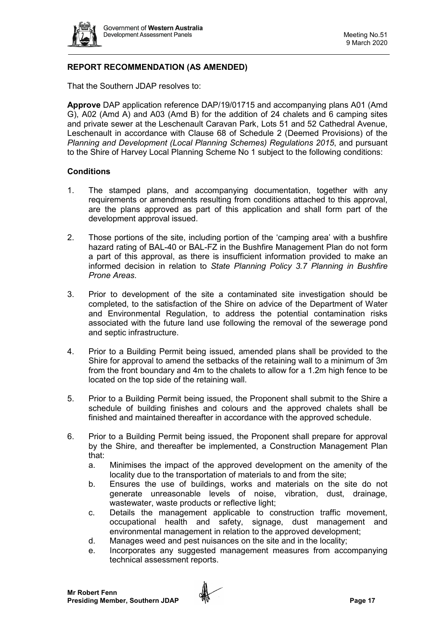

# **REPORT RECOMMENDATION (AS AMENDED)**

That the Southern JDAP resolves to:

**Approve** DAP application reference DAP/19/01715 and accompanying plans A01 (Amd G), A02 (Amd A) and A03 (Amd B) for the addition of 24 chalets and 6 camping sites and private sewer at the Leschenault Caravan Park, Lots 51 and 52 Cathedral Avenue, Leschenault in accordance with Clause 68 of Schedule 2 (Deemed Provisions) of the *Planning and Development (Local Planning Schemes) Regulations 2015*, and pursuant to the Shire of Harvey Local Planning Scheme No 1 subject to the following conditions:

# **Conditions**

- 1. The stamped plans, and accompanying documentation, together with any requirements or amendments resulting from conditions attached to this approval, are the plans approved as part of this application and shall form part of the development approval issued.
- 2. Those portions of the site, including portion of the 'camping area' with a bushfire hazard rating of BAL-40 or BAL-FZ in the Bushfire Management Plan do not form a part of this approval, as there is insufficient information provided to make an informed decision in relation to *State Planning Policy 3.7 Planning in Bushfire Prone Areas*.
- 3. Prior to development of the site a contaminated site investigation should be completed, to the satisfaction of the Shire on advice of the Department of Water and Environmental Regulation, to address the potential contamination risks associated with the future land use following the removal of the sewerage pond and septic infrastructure.
- 4. Prior to a Building Permit being issued, amended plans shall be provided to the Shire for approval to amend the setbacks of the retaining wall to a minimum of 3m from the front boundary and 4m to the chalets to allow for a 1.2m high fence to be located on the top side of the retaining wall.
- 5. Prior to a Building Permit being issued, the Proponent shall submit to the Shire a schedule of building finishes and colours and the approved chalets shall be finished and maintained thereafter in accordance with the approved schedule.
- 6. Prior to a Building Permit being issued, the Proponent shall prepare for approval by the Shire, and thereafter be implemented, a Construction Management Plan that:
	- a. Minimises the impact of the approved development on the amenity of the locality due to the transportation of materials to and from the site;
	- b. Ensures the use of buildings, works and materials on the site do not generate unreasonable levels of noise, vibration, dust, drainage, wastewater, waste products or reflective light;
	- c. Details the management applicable to construction traffic movement, occupational health and safety, signage, dust management and environmental management in relation to the approved development;
	- d. Manages weed and pest nuisances on the site and in the locality;
	- e. Incorporates any suggested management measures from accompanying technical assessment reports.

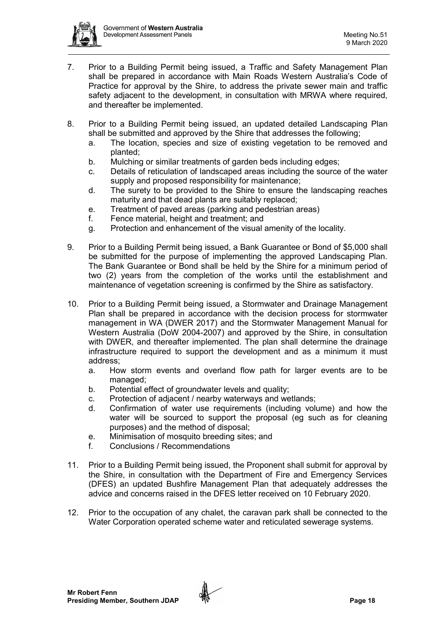

- 7. Prior to a Building Permit being issued, a Traffic and Safety Management Plan shall be prepared in accordance with Main Roads Western Australia's Code of Practice for approval by the Shire, to address the private sewer main and traffic safety adjacent to the development, in consultation with MRWA where required, and thereafter be implemented.
- 8. Prior to a Building Permit being issued, an updated detailed Landscaping Plan shall be submitted and approved by the Shire that addresses the following;
	- a. The location, species and size of existing vegetation to be removed and planted;
	- b. Mulching or similar treatments of garden beds including edges;
	- c. Details of reticulation of landscaped areas including the source of the water supply and proposed responsibility for maintenance;
	- d. The surety to be provided to the Shire to ensure the landscaping reaches maturity and that dead plants are suitably replaced;
	- e. Treatment of paved areas (parking and pedestrian areas)
	- f. Fence material, height and treatment; and
	- g. Protection and enhancement of the visual amenity of the locality.
- 9. Prior to a Building Permit being issued, a Bank Guarantee or Bond of \$5,000 shall be submitted for the purpose of implementing the approved Landscaping Plan. The Bank Guarantee or Bond shall be held by the Shire for a minimum period of two (2) years from the completion of the works until the establishment and maintenance of vegetation screening is confirmed by the Shire as satisfactory.
- 10. Prior to a Building Permit being issued, a Stormwater and Drainage Management Plan shall be prepared in accordance with the decision process for stormwater management in WA (DWER 2017) and the Stormwater Management Manual for Western Australia (DoW 2004-2007) and approved by the Shire, in consultation with DWER, and thereafter implemented. The plan shall determine the drainage infrastructure required to support the development and as a minimum it must address;
	- a. How storm events and overland flow path for larger events are to be managed;
	- b. Potential effect of groundwater levels and quality;
	- c. Protection of adjacent / nearby waterways and wetlands;
	- d. Confirmation of water use requirements (including volume) and how the water will be sourced to support the proposal (eg such as for cleaning purposes) and the method of disposal;
	- e. Minimisation of mosquito breeding sites; and
	- f. Conclusions / Recommendations
- 11. Prior to a Building Permit being issued, the Proponent shall submit for approval by the Shire, in consultation with the Department of Fire and Emergency Services (DFES) an updated Bushfire Management Plan that adequately addresses the advice and concerns raised in the DFES letter received on 10 February 2020.
- 12. Prior to the occupation of any chalet, the caravan park shall be connected to the Water Corporation operated scheme water and reticulated sewerage systems.

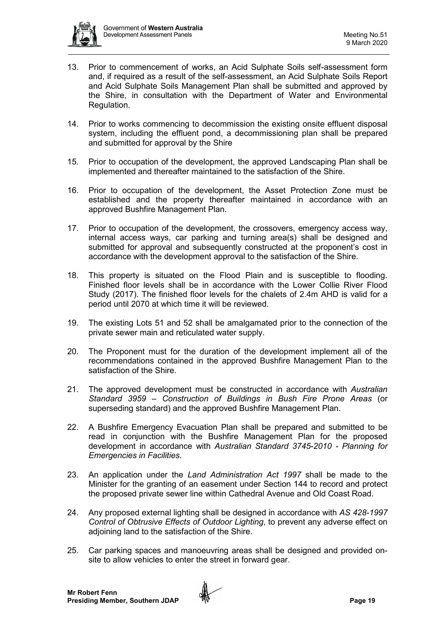

- 13. Prior to commencement of works, an Acid Sulphate Soils self-assessment form and, if required as a result of the self-assessment, an Acid Sulphate Soils Report and Acid Sulphate Soils Management Plan shall be submitted and approved by the Shire, in consultation with the Department of Water and Environmental Regulation.
- 14. Prior to works commencing to decommission the existing onsite effluent disposal system, including the effluent pond, a decommissioning plan shall be prepared and submitted for approval by the Shire
- 15. Prior to occupation of the development, the approved Landscaping Plan shall be implemented and thereafter maintained to the satisfaction of the Shire.
- 16. Prior to occupation of the development, the Asset Protection Zone must be established and the property thereafter maintained in accordance with an approved Bushfire Management Plan.
- 17. Prior to occupation of the development, the crossovers, emergency access way, internal access ways, car parking and turning area(s) shall be designed and submitted for approval and subsequently constructed at the proponent's cost in accordance with the development approval to the satisfaction of the Shire.
- 18. This property is situated on the Flood Plain and is susceptible to flooding. Finished floor levels shall be in accordance with the Lower Collie River Flood Study (2017). The finished floor levels for the chalets of 2.4m AHD is valid for a period until 2070 at which time it will be reviewed.
- 19. The existing Lots 51 and 52 shall be amalgamated prior to the connection of the private sewer main and reticulated water supply.
- 20. The Proponent must for the duration of the development implement all of the recommendations contained in the approved Bushfire Management Plan to the satisfaction of the Shire.
- 21. The approved development must be constructed in accordance with *Australian Standard 3959 – Construction of Buildings in Bush Fire Prone Areas* (or superseding standard) and the approved Bushfire Management Plan.
- 22. A Bushfire Emergency Evacuation Plan shall be prepared and submitted to be read in conjunction with the Bushfire Management Plan for the proposed development in accordance with *Australian Standard 3745-2010 - Planning for Emergencies in Facilities*.
- 23. An application under the *Land Administration Act 1997* shall be made to the Minister for the granting of an easement under Section 144 to record and protect the proposed private sewer line within Cathedral Avenue and Old Coast Road.
- 24. Any proposed external lighting shall be designed in accordance with *AS 428-1997 Control of Obtrusive Effects of Outdoor Lighting*, to prevent any adverse effect on adjoining land to the satisfaction of the Shire.
- 25. Car parking spaces and manoeuvring areas shall be designed and provided onsite to allow vehicles to enter the street in forward gear.

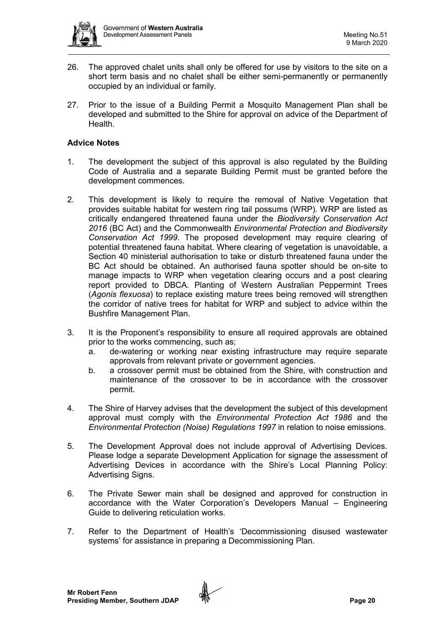

- 26. The approved chalet units shall only be offered for use by visitors to the site on a short term basis and no chalet shall be either semi-permanently or permanently occupied by an individual or family.
- 27. Prior to the issue of a Building Permit a Mosquito Management Plan shall be developed and submitted to the Shire for approval on advice of the Department of Health.

# **Advice Notes**

- 1. The development the subject of this approval is also regulated by the Building Code of Australia and a separate Building Permit must be granted before the development commences.
- 2. This development is likely to require the removal of Native Vegetation that provides suitable habitat for western ring tail possums (WRP). WRP are listed as critically endangered threatened fauna under the *Biodiversity Conservation Act 2016* (BC Act) and the Commonwealth *Environmental Protection and Biodiversity Conservation Act 1999*. The proposed development may require clearing of potential threatened fauna habitat. Where clearing of vegetation is unavoidable, a Section 40 ministerial authorisation to take or disturb threatened fauna under the BC Act should be obtained. An authorised fauna spotter should be on-site to manage impacts to WRP when vegetation clearing occurs and a post clearing report provided to DBCA. Planting of Western Australian Peppermint Trees (*Agonis flexuosa*) to replace existing mature trees being removed will strengthen the corridor of native trees for habitat for WRP and subject to advice within the Bushfire Management Plan.
- 3. It is the Proponent's responsibility to ensure all required approvals are obtained prior to the works commencing, such as;
	- a. de-watering or working near existing infrastructure may require separate approvals from relevant private or government agencies.
	- b. a crossover permit must be obtained from the Shire, with construction and maintenance of the crossover to be in accordance with the crossover permit.
- 4. The Shire of Harvey advises that the development the subject of this development approval must comply with the *Environmental Protection Act 1986* and the *Environmental Protection (Noise) Regulations 1997* in relation to noise emissions.
- 5. The Development Approval does not include approval of Advertising Devices. Please lodge a separate Development Application for signage the assessment of Advertising Devices in accordance with the Shire's Local Planning Policy: Advertising Signs.
- 6. The Private Sewer main shall be designed and approved for construction in accordance with the Water Corporation's Developers Manual – Engineering Guide to delivering reticulation works.
- 7. Refer to the Department of Health's 'Decommissioning disused wastewater systems' for assistance in preparing a Decommissioning Plan.

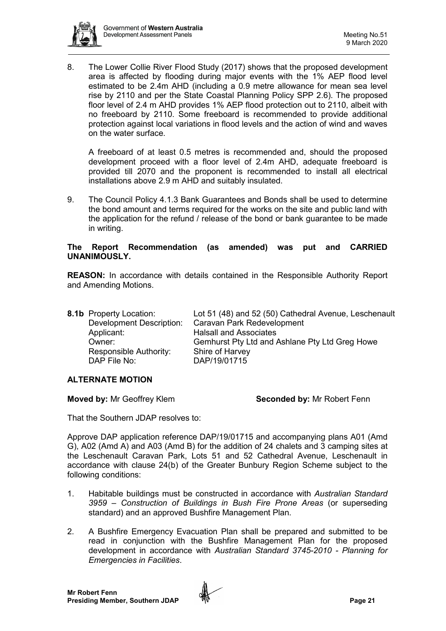

8. The Lower Collie River Flood Study (2017) shows that the proposed development area is affected by flooding during major events with the 1% AEP flood level estimated to be 2.4m AHD (including a 0.9 metre allowance for mean sea level rise by 2110 and per the State Coastal Planning Policy SPP 2.6). The proposed floor level of 2.4 m AHD provides 1% AEP flood protection out to 2110, albeit with no freeboard by 2110. Some freeboard is recommended to provide additional protection against local variations in flood levels and the action of wind and waves on the water surface.

A freeboard of at least 0.5 metres is recommended and, should the proposed development proceed with a floor level of 2.4m AHD, adequate freeboard is provided till 2070 and the proponent is recommended to install all electrical installations above 2.9 m AHD and suitably insulated.

9. The Council Policy 4.1.3 Bank Guarantees and Bonds shall be used to determine the bond amount and terms required for the works on the site and public land with the application for the refund / release of the bond or bank guarantee to be made in writing.

# **The Report Recommendation (as amended) was put and CARRIED UNANIMOUSLY.**

**REASON:** In accordance with details contained in the Responsible Authority Report and Amending Motions.

| <b>8.1b</b> Property Location:<br><b>Development Description:</b><br>Applicant: | Lot 51 (48) and 52 (50) Cathedral Avenue, Leschenault<br>Caravan Park Redevelopment<br><b>Halsall and Associates</b> |
|---------------------------------------------------------------------------------|----------------------------------------------------------------------------------------------------------------------|
| Owner:<br>Responsible Authority:<br>DAP File No:                                | Gemhurst Pty Ltd and Ashlane Pty Ltd Greg Howe<br>Shire of Harvey<br>DAP/19/01715                                    |

# **ALTERNATE MOTION**

**Moved by:** Mr Geoffrey Klem **Seconded by: Mr Robert Fenn** 

That the Southern JDAP resolves to:

Approve DAP application reference DAP/19/01715 and accompanying plans A01 (Amd G), A02 (Amd A) and A03 (Amd B) for the addition of 24 chalets and 3 camping sites at the Leschenault Caravan Park, Lots 51 and 52 Cathedral Avenue, Leschenault in accordance with clause 24(b) of the Greater Bunbury Region Scheme subject to the following conditions:

- 1. Habitable buildings must be constructed in accordance with *Australian Standard 3959 – Construction of Buildings in Bush Fire Prone Areas* (or superseding standard) and an approved Bushfire Management Plan.
- 2. A Bushfire Emergency Evacuation Plan shall be prepared and submitted to be read in conjunction with the Bushfire Management Plan for the proposed development in accordance with *Australian Standard 3745-2010 - Planning for Emergencies in Facilities*.